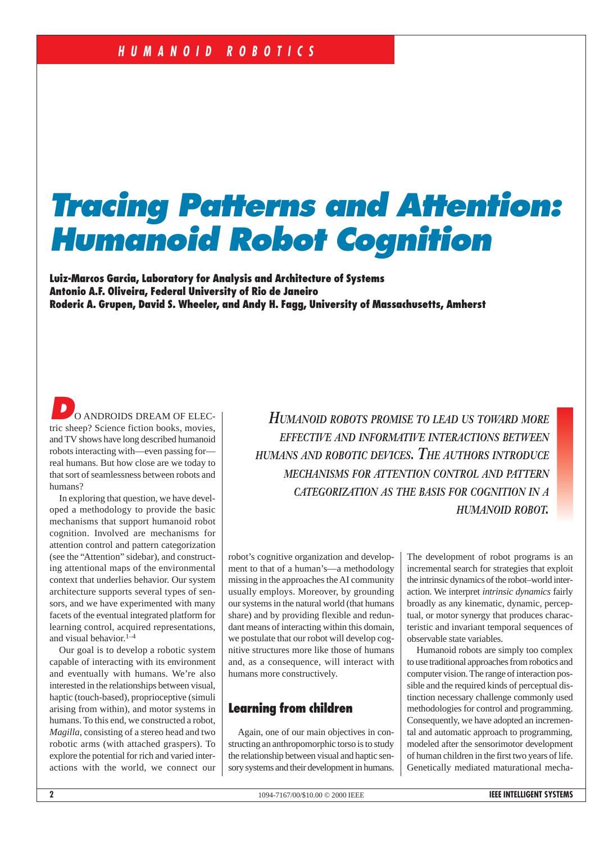# *Tracing Patterns and Attention: Humanoid Robot Cognition*

**Luiz-Marcos Garcia, Laboratory for Analysis and Architecture of Systems Antonio A.F. Oliveira, Federal University of Rio de Janeiro Roderic A. Grupen, David S. Wheeler, and Andy H. Fagg, University of Massachusetts, Amherst**

*D*O ANDROIDS DREAM OF ELECtric sheep? Science fiction books, movies, and TV shows have long described humanoid robots interacting with—even passing for real humans. But how close are we today to that sort of seamlessness between robots and humans?

In exploring that question, we have developed a methodology to provide the basic mechanisms that support humanoid robot cognition. Involved are mechanisms for attention control and pattern categorization (see the "Attention" sidebar), and constructing attentional maps of the environmental context that underlies behavior. Our system architecture supports several types of sensors, and we have experimented with many facets of the eventual integrated platform for learning control, acquired representations, and visual behavior.<sup>1-4</sup>

Our goal is to develop a robotic system capable of interacting with its environment and eventually with humans. We're also interested in the relationships between visual, haptic (touch-based), proprioceptive (simuli arising from within), and motor systems in humans. To this end, we constructed a robot, *Magilla*, consisting of a stereo head and two robotic arms (with attached graspers). To explore the potential for rich and varied interactions with the world, we connect our

*HUMANOID ROBOTS PROMISE TO LEAD US TOWARD MORE EFFECTIVE AND INFORMATIVE INTERACTIONS BETWEEN HUMANS AND ROBOTIC DEVICES. THE AUTHORS INTRODUCE MECHANISMS FOR ATTENTION CONTROL AND PATTERN CATEGORIZATION AS THE BASIS FOR COGNITION IN A HUMANOID ROBOT.* 

robot's cognitive organization and development to that of a human's—a methodology missing in the approaches the AI community usually employs. Moreover, by grounding our systems in the natural world (that humans share) and by providing flexible and redundant means of interacting within this domain, we postulate that our robot will develop cognitive structures more like those of humans and, as a consequence, will interact with humans more constructively.

# **Learning from children**

Again, one of our main objectives in constructing an anthropomorphic torso is to study the relationship between visual and haptic sensory systems and their development in humans.

The development of robot programs is an incremental search for strategies that exploit the intrinsic dynamics of the robot–world interaction. We interpret *intrinsic dynamics* fairly broadly as any kinematic, dynamic, perceptual, or motor synergy that produces characteristic and invariant temporal sequences of observable state variables.

Humanoid robots are simply too complex to use traditional approaches from robotics and computer vision. The range of interaction possible and the required kinds of perceptual distinction necessary challenge commonly used methodologies for control and programming. Consequently, we have adopted an incremental and automatic approach to programming, modeled after the sensorimotor development of human children in the first two years of life. Genetically mediated maturational mecha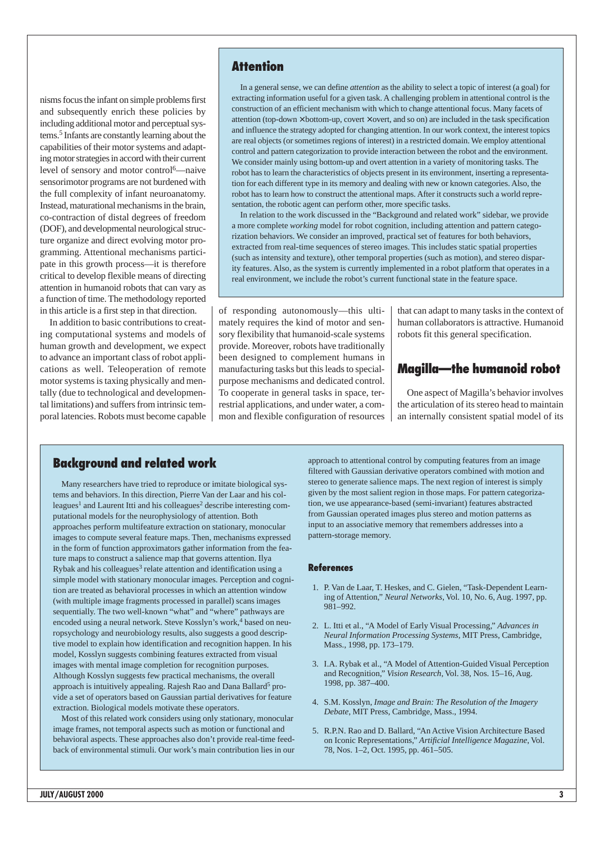nisms focus the infant on simple problems first and subsequently enrich these policies by including additional motor and perceptual systems.<sup>5</sup> Infants are constantly learning about the capabilities of their motor systems and adapting motor strategies in accord with their current level of sensory and motor control<sup>6</sup>—naive sensorimotor programs are not burdened with the full complexity of infant neuroanatomy. Instead, maturational mechanisms in the brain, co-contraction of distal degrees of freedom (DOF), and developmental neurological structure organize and direct evolving motor programming. Attentional mechanisms participate in this growth process—it is therefore critical to develop flexible means of directing attention in humanoid robots that can vary as a function of time. The methodology reported in this article is a first step in that direction.

In addition to basic contributions to creating computational systems and models of human growth and development, we expect to advance an important class of robot applications as well. Teleoperation of remote motor systems is taxing physically and mentally (due to technological and developmental limitations) and suffers from intrinsic temporal latencies. Robots must become capable

## **Attention**

In a general sense, we can define *attention* as the ability to select a topic of interest (a goal) for extracting information useful for a given task. A challenging problem in attentional control is the construction of an efficient mechanism with which to change attentional focus. Many facets of attention (top-down  $\times$  bottom-up, covert  $\times$  overt, and so on) are included in the task specification and influence the strategy adopted for changing attention. In our work context, the interest topics are real objects (or sometimes regions of interest) in a restricted domain. We employ attentional control and pattern categorization to provide interaction between the robot and the environment. We consider mainly using bottom-up and overt attention in a variety of monitoring tasks. The robot has to learn the characteristics of objects present in its environment, inserting a representation for each different type in its memory and dealing with new or known categories. Also, the robot has to learn how to construct the attentional maps. After it constructs such a world representation, the robotic agent can perform other, more specific tasks.

In relation to the work discussed in the "Background and related work" sidebar, we provide a more complete *working* model for robot cognition, including attention and pattern categorization behaviors. We consider an improved, practical set of features for both behaviors, extracted from real-time sequences of stereo images. This includes static spatial properties (such as intensity and texture), other temporal properties (such as motion), and stereo disparity features. Also, as the system is currently implemented in a robot platform that operates in a real environment, we include the robot's current functional state in the feature space.

of responding autonomously—this ultimately requires the kind of motor and sensory flexibility that humanoid-scale systems provide. Moreover, robots have traditionally been designed to complement humans in manufacturing tasks but this leads to specialpurpose mechanisms and dedicated control. To cooperate in general tasks in space, terrestrial applications, and under water, a common and flexible configuration of resources

that can adapt to many tasks in the context of human collaborators is attractive. Humanoid robots fit this general specification.

# **Magilla—the humanoid robot**

One aspect of Magilla's behavior involves the articulation of its stereo head to maintain an internally consistent spatial model of its

#### **Background and related work**

Many researchers have tried to reproduce or imitate biological systems and behaviors. In this direction, Pierre Van der Laar and his colleagues<sup>1</sup> and Laurent Itti and his colleagues<sup>2</sup> describe interesting computational models for the neurophysiology of attention. Both approaches perform multifeature extraction on stationary, monocular images to compute several feature maps. Then, mechanisms expressed in the form of function approximators gather information from the feature maps to construct a salience map that governs attention. Ilya Rybak and his colleagues<sup>3</sup> relate attention and identification using a simple model with stationary monocular images. Perception and cognition are treated as behavioral processes in which an attention window (with multiple image fragments processed in parallel) scans images sequentially. The two well-known "what" and "where" pathways are encoded using a neural network. Steve Kosslyn's work,<sup>4</sup> based on neuropsychology and neurobiology results, also suggests a good descriptive model to explain how identification and recognition happen. In his model, Kosslyn suggests combining features extracted from visual images with mental image completion for recognition purposes. Although Kosslyn suggests few practical mechanisms, the overall approach is intuitively appealing. Rajesh Rao and Dana Ballard<sup>5</sup> provide a set of operators based on Gaussian partial derivatives for feature extraction. Biological models motivate these operators.

Most of this related work considers using only stationary, monocular image frames, not temporal aspects such as motion or functional and behavioral aspects. These approaches also don't provide real-time feedback of environmental stimuli. Our work's main contribution lies in our

approach to attentional control by computing features from an image filtered with Gaussian derivative operators combined with motion and stereo to generate salience maps. The next region of interest is simply given by the most salient region in those maps. For pattern categorization, we use appearance-based (semi-invariant) features abstracted from Gaussian operated images plus stereo and motion patterns as input to an associative memory that remembers addresses into a pattern-storage memory.

#### **References**

- 1. P. Van de Laar, T. Heskes, and C. Gielen, "Task-Dependent Learning of Attention," *Neural Networks*, Vol. 10, No. 6, Aug. 1997, pp. 981–992.
- 2. L. Itti et al., "A Model of Early Visual Processing," *Advances in Neural Information Processing Systems*, MIT Press, Cambridge, Mass., 1998, pp. 173–179.
- 3. I.A. Rybak et al., "A Model of Attention-Guided Visual Perception and Recognition," *Vision Research*, Vol. 38, Nos. 15–16, Aug. 1998, pp. 387–400.
- 4. S.M. Kosslyn, *Image and Brain: The Resolution of the Imagery Debate*, MIT Press, Cambridge, Mass., 1994.
- 5. R.P.N. Rao and D. Ballard, "An Active Vision Architecture Based on Iconic Representations," *Artificial Intelligence Magazine*, Vol. 78, Nos. 1–2, Oct. 1995, pp. 461–505.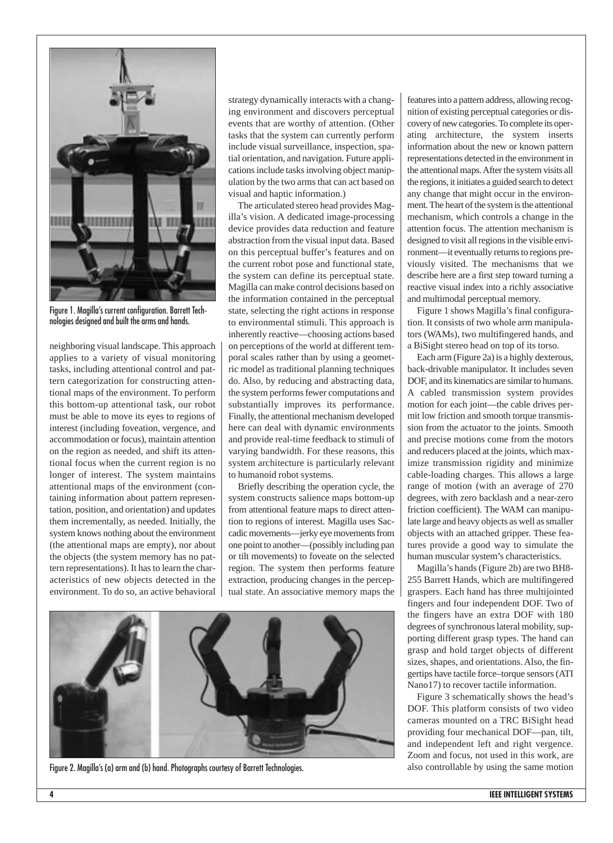

Figure 1. Magilla's current configuration. Barrett Technologies designed and built the arms and hands.

neighboring visual landscape. This approach applies to a variety of visual monitoring tasks, including attentional control and pattern categorization for constructing attentional maps of the environment. To perform this bottom-up attentional task, our robot must be able to move its eyes to regions of interest (including foveation, vergence, and accommodation or focus), maintain attention on the region as needed, and shift its attentional focus when the current region is no longer of interest. The system maintains attentional maps of the environment (containing information about pattern representation, position, and orientation) and updates them incrementally, as needed. Initially, the system knows nothing about the environment (the attentional maps are empty), nor about the objects (the system memory has no pattern representations). It has to learn the characteristics of new objects detected in the environment. To do so, an active behavioral

strategy dynamically interacts with a changing environment and discovers perceptual events that are worthy of attention. (Other tasks that the system can currently perform include visual surveillance, inspection, spatial orientation, and navigation. Future applications include tasks involving object manipulation by the two arms that can act based on visual and haptic information.)

The articulated stereo head provides Magilla's vision. A dedicated image-processing device provides data reduction and feature abstraction from the visual input data. Based on this perceptual buffer's features and on the current robot pose and functional state, the system can define its perceptual state. Magilla can make control decisions based on the information contained in the perceptual state, selecting the right actions in response to environmental stimuli. This approach is inherently reactive—choosing actions based on perceptions of the world at different temporal scales rather than by using a geometric model as traditional planning techniques do. Also, by reducing and abstracting data, the system performs fewer computations and substantially improves its performance. Finally, the attentional mechanism developed here can deal with dynamic environments and provide real-time feedback to stimuli of varying bandwidth. For these reasons, this system architecture is particularly relevant to humanoid robot systems.

Briefly describing the operation cycle, the system constructs salience maps bottom-up from attentional feature maps to direct attention to regions of interest. Magilla uses Saccadic movements—jerky eye movements from one point to another—(possibly including pan or tilt movements) to foveate on the selected region. The system then performs feature extraction, producing changes in the perceptual state. An associative memory maps the



Figure 2. Magilla's (a) arm and (b) hand. Photographs courtesy of Barrett Technologies.

features into a pattern address, allowing recognition of existing perceptual categories or discovery of new categories. To complete its operating architecture, the system inserts information about the new or known pattern representations detected in the environment in the attentional maps. After the system visits all the regions, it initiates a guided search to detect any change that might occur in the environment. The heart of the system is the attentional mechanism, which controls a change in the attention focus. The attention mechanism is designed to visit all regions in the visible environment—it eventually returns to regions previously visited. The mechanisms that we describe here are a first step toward turning a reactive visual index into a richly associative and multimodal perceptual memory.

Figure 1 shows Magilla's final configuration. It consists of two whole arm manipulators (WAMs), two multifingered hands, and a BiSight stereo head on top of its torso.

Each arm (Figure 2a) is a highly dexterous, back-drivable manipulator. It includes seven DOF, and its kinematics are similar to humans. A cabled transmission system provides motion for each joint—the cable drives permit low friction and smooth torque transmission from the actuator to the joints. Smooth and precise motions come from the motors and reducers placed at the joints, which maximize transmission rigidity and minimize cable-loading charges. This allows a large range of motion (with an average of 270 degrees, with zero backlash and a near-zero friction coefficient). The WAM can manipulate large and heavy objects as well as smaller objects with an attached gripper. These features provide a good way to simulate the human muscular system's characteristics.

Magilla's hands (Figure 2b) are two BH8- 255 Barrett Hands, which are multifingered graspers. Each hand has three multijointed fingers and four independent DOF. Two of the fingers have an extra DOF with 180 degrees of synchronous lateral mobility, supporting different grasp types. The hand can grasp and hold target objects of different sizes, shapes, and orientations. Also, the fingertips have tactile force–torque sensors (ATI Nano17) to recover tactile information.

Figure 3 schematically shows the head's DOF. This platform consists of two video cameras mounted on a TRC BiSight head providing four mechanical DOF—pan, tilt, and independent left and right vergence. Zoom and focus, not used in this work, are also controllable by using the same motion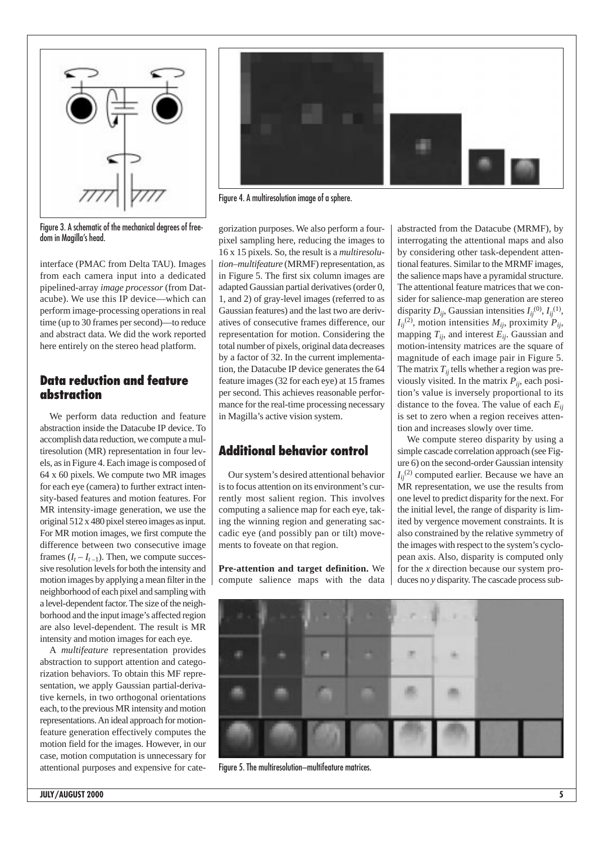

Figure 3. A schematic of the mechanical degrees of freedom in Magilla's head.

interface (PMAC from Delta TAU). Images from each camera input into a dedicated pipelined-array *image processor* (from Datacube). We use this IP device—which can perform image-processing operations in real time (up to 30 frames per second)—to reduce and abstract data. We did the work reported here entirely on the stereo head platform.

# **Data reduction and feature abstraction**

We perform data reduction and feature abstraction inside the Datacube IP device. To accomplish data reduction, we compute a multiresolution (MR) representation in four levels, as in Figure 4. Each image is composed of 64 x 60 pixels. We compute two MR images for each eye (camera) to further extract intensity-based features and motion features. For MR intensity-image generation, we use the original 512 x 480 pixel stereo images as input. For MR motion images, we first compute the difference between two consecutive image frames  $(I_t - I_{t-1})$ . Then, we compute successive resolution levels for both the intensity and motion images by applying a mean filter in the neighborhood of each pixel and sampling with a level-dependent factor. The size of the neighborhood and the input image's affected region are also level-dependent. The result is MR intensity and motion images for each eye.

A *multifeature* representation provides abstraction to support attention and categorization behaviors. To obtain this MF representation, we apply Gaussian partial-derivative kernels, in two orthogonal orientations each, to the previous MR intensity and motion representations. An ideal approach for motionfeature generation effectively computes the motion field for the images. However, in our case, motion computation is unnecessary for attentional purposes and expensive for cate-



Figure 4. A multiresolution image of a sphere.

gorization purposes. We also perform a fourpixel sampling here, reducing the images to 16 x 15 pixels. So, the result is a *multiresolution–multifeature* (MRMF) representation, as in Figure 5. The first six column images are adapted Gaussian partial derivatives (order 0, 1, and 2) of gray-level images (referred to as Gaussian features) and the last two are derivatives of consecutive frames difference, our representation for motion. Considering the total number of pixels, original data decreases by a factor of 32. In the current implementation, the Datacube IP device generates the 64 feature images (32 for each eye) at 15 frames per second. This achieves reasonable performance for the real-time processing necessary in Magilla's active vision system.

#### **Additional behavior control**

Our system's desired attentional behavior is to focus attention on its environment's currently most salient region. This involves computing a salience map for each eye, taking the winning region and generating saccadic eye (and possibly pan or tilt) movements to foveate on that region.

**Pre-attention and target definition.** We compute salience maps with the data abstracted from the Datacube (MRMF), by interrogating the attentional maps and also by considering other task-dependent attentional features. Similar to the MRMF images, the salience maps have a pyramidal structure. The attentional feature matrices that we consider for salience-map generation are stereo disparity  $D_{ij}$ , Gaussian intensities  $I_{ij}^{(0)}$ ,  $I_{ij}^{(1)}$ ,  $I_{ij}$ <sup>(2)</sup>, motion intensities  $M_{ij}$ , proximity  $P_{ij}$ , mapping  $T_{ii}$ , and interest  $E_{ii}$ . Gaussian and motion-intensity matrices are the square of magnitude of each image pair in Figure 5. The matrix  $T_{ii}$  tells whether a region was previously visited. In the matrix  $P_{ii}$ , each position's value is inversely proportional to its distance to the fovea. The value of each  $E_{ii}$ is set to zero when a region receives attention and increases slowly over time.

We compute stereo disparity by using a simple cascade correlation approach (see Figure 6) on the second-order Gaussian intensity  $I_{ij}^{(2)}$  computed earlier. Because we have an MR representation, we use the results from one level to predict disparity for the next. For the initial level, the range of disparity is limited by vergence movement constraints. It is also constrained by the relative symmetry of the images with respect to the system's cyclopean axis. Also, disparity is computed only for the *x* direction because our system produces no *y* disparity. The cascade process sub-



Figure 5. The multiresolution–multifeature matrices.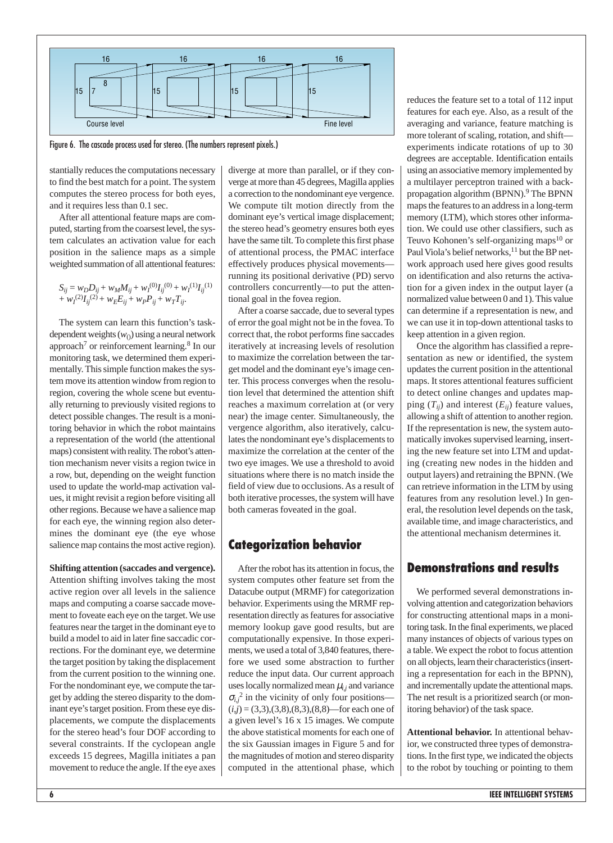

Figure 6. The cascade process used for stereo. (The numbers represent pixels.)

stantially reduces the computations necessary to find the best match for a point. The system computes the stereo process for both eyes, and it requires less than 0.1 sec.

After all attentional feature maps are computed, starting from the coarsest level, the system calculates an activation value for each position in the salience maps as a simple weighted summation of all attentional features:

 $S_{ij} = w_D D_{ij} + w_M M_{ij} + w_I^{(0)} I_{ij}^{(0)} + w_I^{(1)} I_{ij}^{(1)}$  $+ w_I^{(2)} I_{ij}^{(2)} + w_E E_{ij} + w_P P_{ij} + w_T T_{ij}.$ 

The system can learn this function's taskdependent weights  $(w<sub>0</sub>)$  using a neural network approach<sup>7</sup> or reinforcement learning.<sup>8</sup> In our monitoring task, we determined them experimentally. This simple function makes the system move its attention window from region to region, covering the whole scene but eventually returning to previously visited regions to detect possible changes. The result is a monitoring behavior in which the robot maintains a representation of the world (the attentional maps) consistent with reality. The robot's attention mechanism never visits a region twice in a row, but, depending on the weight function used to update the world-map activation values, it might revisit a region before visiting all other regions. Because we have a salience map for each eye, the winning region also determines the dominant eye (the eye whose salience map contains the most active region).

#### **Shifting attention (saccades and vergence).**

Attention shifting involves taking the most active region over all levels in the salience maps and computing a coarse saccade movement to foveate each eye on the target. We use features near the target in the dominant eye to build a model to aid in later fine saccadic corrections. For the dominant eye, we determine the target position by taking the displacement from the current position to the winning one. For the nondominant eye, we compute the target by adding the stereo disparity to the dominant eye's target position. From these eye displacements, we compute the displacements for the stereo head's four DOF according to several constraints. If the cyclopean angle exceeds 15 degrees, Magilla initiates a pan movement to reduce the angle. If the eye axes diverge at more than parallel, or if they converge at more than 45 degrees, Magilla applies a correction to the nondominant eye vergence. We compute tilt motion directly from the dominant eye's vertical image displacement; the stereo head's geometry ensures both eyes have the same tilt. To complete this first phase of attentional process, the PMAC interface effectively produces physical movements running its positional derivative (PD) servo controllers concurrently—to put the attentional goal in the fovea region.

After a coarse saccade, due to several types of error the goal might not be in the fovea. To correct that, the robot performs fine saccades iteratively at increasing levels of resolution to maximize the correlation between the target model and the dominant eye's image center. This process converges when the resolution level that determined the attention shift reaches a maximum correlation at (or very near) the image center. Simultaneously, the vergence algorithm, also iteratively, calculates the nondominant eye's displacements to maximize the correlation at the center of the two eye images. We use a threshold to avoid situations where there is no match inside the field of view due to occlusions. As a result of both iterative processes, the system will have both cameras foveated in the goal.

# **Categorization behavior**

After the robot has its attention in focus, the system computes other feature set from the Datacube output (MRMF) for categorization behavior. Experiments using the MRMF representation directly as features for associative memory lookup gave good results, but are computationally expensive. In those experiments, we used a total of 3,840 features, therefore we used some abstraction to further reduce the input data. Our current approach uses locally normalized mean  $\mu_i$ , and variance  $\sigma_{i,j}^2$  in the vicinity of only four positions—  $(i,j) = (3,3),(3,8),(8,3),(8,8)$ —for each one of a given level's 16 x 15 images. We compute the above statistical moments for each one of the six Gaussian images in Figure 5 and for the magnitudes of motion and stereo disparity computed in the attentional phase, which reduces the feature set to a total of 112 input features for each eye. Also, as a result of the averaging and variance, feature matching is more tolerant of scaling, rotation, and shift experiments indicate rotations of up to 30 degrees are acceptable. Identification entails using an associative memory implemented by a multilayer perceptron trained with a backpropagation algorithm (BPNN).<sup>9</sup> The BPNN maps the features to an address in a long-term memory (LTM), which stores other information. We could use other classifiers, such as Teuvo Kohonen's self-organizing maps<sup>10</sup> or Paul Viola's belief networks,<sup>11</sup> but the BP network approach used here gives good results on identification and also returns the activation for a given index in the output layer (a normalized value between 0 and 1). This value can determine if a representation is new, and we can use it in top-down attentional tasks to keep attention in a given region.

Once the algorithm has classified a representation as new or identified, the system updates the current position in the attentional maps. It stores attentional features sufficient to detect online changes and updates mapping  $(T_{ii})$  and interest  $(E_{ii})$  feature values, allowing a shift of attention to another region. If the representation is new, the system automatically invokes supervised learning, inserting the new feature set into LTM and updating (creating new nodes in the hidden and output layers) and retraining the BPNN. (We can retrieve information in the LTM by using features from any resolution level.) In general, the resolution level depends on the task, available time, and image characteristics, and the attentional mechanism determines it.

# **Demonstrations and results**

We performed several demonstrations involving attention and categorization behaviors for constructing attentional maps in a monitoring task. In the final experiments, we placed many instances of objects of various types on a table. We expect the robot to focus attention on all objects, learn their characteristics (inserting a representation for each in the BPNN), and incrementally update the attentional maps. The net result is a prioritized search (or monitoring behavior) of the task space.

**Attentional behavior.** In attentional behavior, we constructed three types of demonstrations. In the first type, we indicated the objects to the robot by touching or pointing to them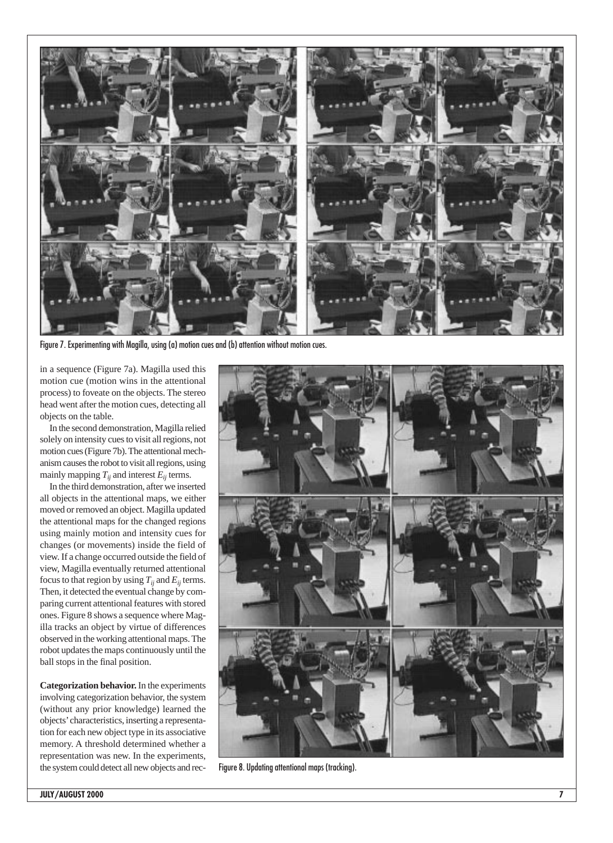

Figure 7. Experimenting with Magilla, using (a) motion cues and (b) attention without motion cues.

in a sequence (Figure 7a). Ma gilla used this motion cue (motion wins in the attentional process) to fo veate on the objects. The stereo head went after the motion cues, detecting all objects on the table .

In the second demonstr ation, Ma gilla relied solely on intensity cues to visit all r e gions, not motion cues (Figure 7b). The attentional mechanism causes the robot to visit all re gions, using mainly mapping  $T_{ij}$  and interest  $E_{ij}$  terms.

In the third demonstr ation, after we inserted all objects in the attentional maps, we either mo ved or remo ved an object. Ma gilla updated the attentional maps for the changed r e gions using mainly motion and intensity cues for changes (or movements) inside the field of vie w. If a change occurred outside the field of vie w , Ma gilla e ventually returned attentional focus to that region by using  $T_{ij}$  and  $E_{ij}$  terms. Then, it detected the eventual change by com paring current attentional features with stored ones. Figure 8 shows a sequence where Ma g illa tracks an object by virtue of differences observed in the working attentional maps. The robot updates the maps continuously until the ball stops in the final position.

**Cate gorization behavior.** In the experiments involving cate gorization behavior, the system (without any prior knowledge) learned the objects' characteristics, inserting a r epresenta tion for each new object type in its associati v e memor y. A threshold determined whether a r epresentation was ne w. In the experiments, the system could detect all new objects and rec -



Figure 8. Updating attentional maps (tracking).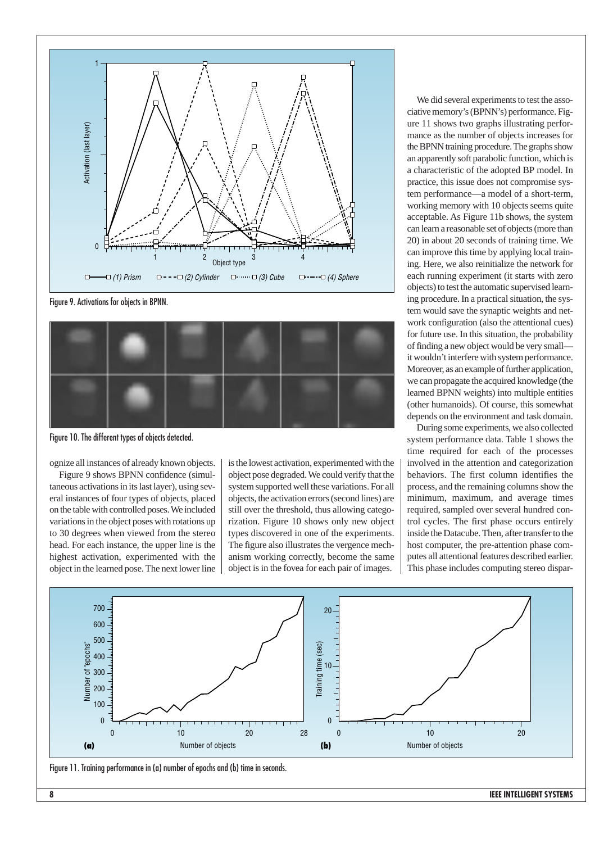

Figure 9. Activations for objects in BPNN.



Figure 10. The different types of objects detected.

ognize all instances of already known objects.

Figure 9 shows BPNN confidence (simultaneous activations in its last layer), using several instances of four types of objects, placed on the table with controlled poses. We included variations in the object poses with rotations up to 30 degrees when viewed from the stereo head. For each instance, the upper line is the highest activation, experimented with the object in the learned pose. The next lower line

is the lowest activation, experimented with the object pose degraded. We could verify that the system supported well these variations. For all objects, the activation errors (second lines) are still over the threshold, thus allowing categorization. Figure 10 shows only new object types discovered in one of the experiments. The figure also illustrates the vergence mechanism working correctly, become the same object is in the fovea for each pair of images.

We did several experiments to test the associative memory's (BPNN's) performance. Figure 11 shows two graphs illustrating performance as the number of objects increases for the BPNN training procedure. The graphs show an apparently soft parabolic function, which is a characteristic of the adopted BP model. In practice, this issue does not compromise system performance—a model of a short-term, working memory with 10 objects seems quite acceptable. As Figure 11b shows, the system can learn a reasonable set of objects (more than 20) in about 20 seconds of training time. We can improve this time by applying local training. Here, we also reinitialize the network for each running experiment (it starts with zero objects) to test the automatic supervised learning procedure. In a practical situation, the system would save the synaptic weights and network configuration (also the attentional cues) for future use. In this situation, the probability of finding a new object would be very small it wouldn't interfere with system performance. Moreover, as an example of further application, we can propagate the acquired knowledge (the learned BPNN weights) into multiple entities (other humanoids). Of course, this somewhat depends on the environment and task domain.

During some experiments, we also collected system performance data. Table 1 shows the time required for each of the processes involved in the attention and categorization behaviors. The first column identifies the process, and the remaining columns show the minimum, maximum, and average times required, sampled over several hundred control cycles. The first phase occurs entirely inside the Datacube. Then, after transfer to the host computer, the pre-attention phase computes all attentional features described earlier. This phase includes computing stereo dispar-





*8 IEEE INTELLIGENT SYSTEMS*